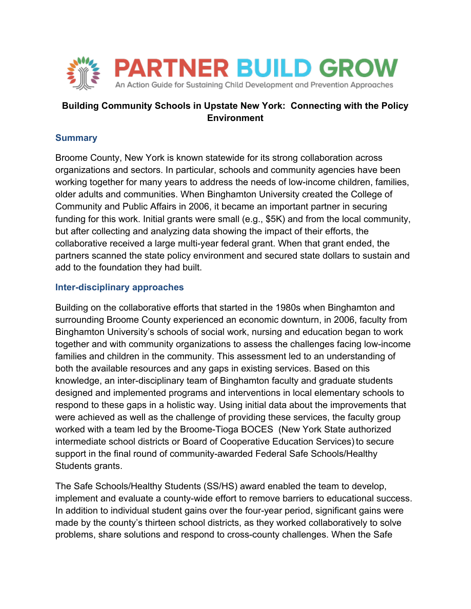

# **Building Community Schools in Upstate New York: Connecting with the Policy Environment**

## **Summary**

Broome County, New York is known statewide for its strong collaboration across organizations and sectors. In particular, schools and community agencies have been working together for many years to address the needs of low-income children, families, older adults and communities. When Binghamton University created the College of Community and Public Affairs in 2006, it became an important partner in securing funding for this work. Initial grants were small (e.g., \$5K) and from the local community, but after collecting and analyzing data showing the impact of their efforts, the collaborative received a large multi-year federal grant. When that grant ended, the partners scanned the state policy environment and secured state dollars to sustain and add to the foundation they had built.

## **Inter-disciplinary approaches**

Building on the collaborative efforts that started in the 1980s when Binghamton and surrounding Broome County experienced an economic downturn, in 2006, faculty from Binghamton University's schools of social work, nursing and education began to work together and with community organizations to assess the challenges facing low-income families and children in the community. This assessment led to an understanding of both the available resources and any gaps in existing services. Based on this knowledge, an inter-disciplinary team of Binghamton faculty and graduate students designed and implemented programs and interventions in local elementary schools to respond to these gaps in a holistic way. Using initial data about the improvements that were achieved as well as the challenge of providing these services, the faculty group worked with a team led by the Broome-Tioga BOCES (New York State authorized intermediate school districts or Board of Cooperative Education Services) to secure support in the final round of community-awarded Federal Safe Schools/Healthy Students grants.

The Safe Schools/Healthy Students (SS/HS) award enabled the team to develop, implement and evaluate a county-wide effort to remove barriers to educational success. In addition to individual student gains over the four-year period, significant gains were made by the county's thirteen school districts, as they worked collaboratively to solve problems, share solutions and respond to cross-county challenges. When the Safe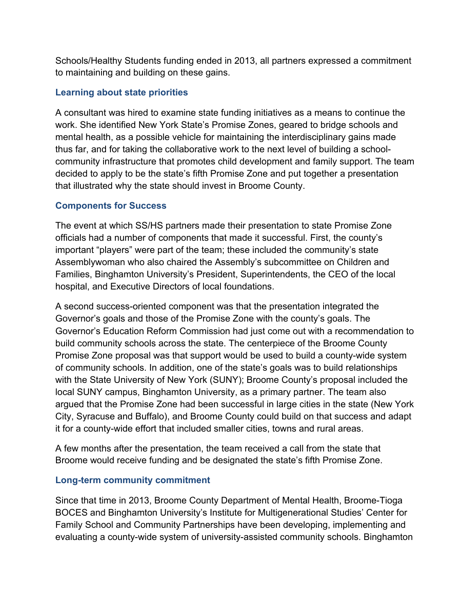Schools/Healthy Students funding ended in 2013, all partners expressed a commitment to maintaining and building on these gains.

### **Learning about state priorities**

A consultant was hired to examine state funding initiatives as a means to continue the work. She identified New York State's Promise Zones, geared to bridge schools and mental health, as a possible vehicle for maintaining the interdisciplinary gains made thus far, and for taking the collaborative work to the next level of building a schoolcommunity infrastructure that promotes child development and family support. The team decided to apply to be the state's fifth Promise Zone and put together a presentation that illustrated why the state should invest in Broome County.

# **Components for Success**

The event at which SS/HS partners made their presentation to state Promise Zone officials had a number of components that made it successful. First, the county's important "players" were part of the team; these included the community's state Assemblywoman who also chaired the Assembly's subcommittee on Children and Families, Binghamton University's President, Superintendents, the CEO of the local hospital, and Executive Directors of local foundations.

A second success-oriented component was that the presentation integrated the Governor's goals and those of the Promise Zone with the county's goals. The Governor's Education Reform Commission had just come out with a recommendation to build community schools across the state. The centerpiece of the Broome County Promise Zone proposal was that support would be used to build a county-wide system of community schools. In addition, one of the state's goals was to build relationships with the State University of New York (SUNY); Broome County's proposal included the local SUNY campus, Binghamton University, as a primary partner. The team also argued that the Promise Zone had been successful in large cities in the state (New York City, Syracuse and Buffalo), and Broome County could build on that success and adapt it for a county-wide effort that included smaller cities, towns and rural areas.

A few months after the presentation, the team received a call from the state that Broome would receive funding and be designated the state's fifth Promise Zone.

#### **Long-term community commitment**

Since that time in 2013, Broome County Department of Mental Health, Broome-Tioga BOCES and Binghamton University's Institute for Multigenerational Studies' Center for Family School and Community Partnerships have been developing, implementing and evaluating a county-wide system of university-assisted community schools. Binghamton